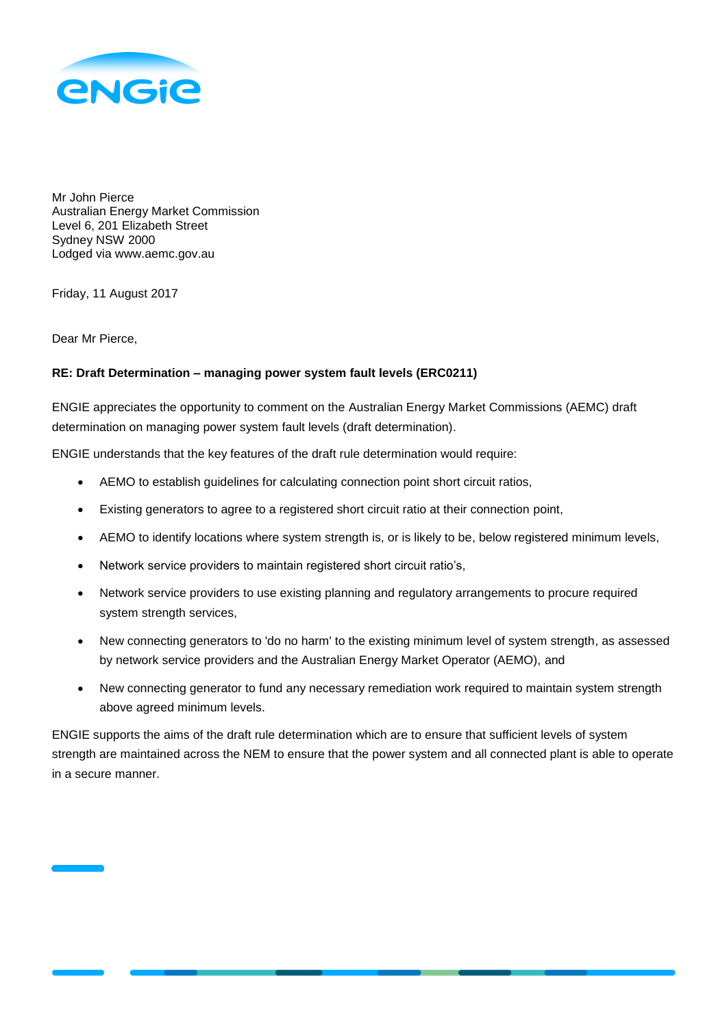

Mr John Pierce Australian Energy Market Commission Level 6, 201 Elizabeth Street Sydney NSW 2000 Lodged via www.aemc.gov.au

Friday, 11 August 2017

Dear Mr Pierce,

# **RE: Draft Determination – managing power system fault levels (ERC0211)**

ENGIE appreciates the opportunity to comment on the Australian Energy Market Commissions (AEMC) draft determination on managing power system fault levels (draft determination).

ENGIE understands that the key features of the draft rule determination would require:

- AEMO to establish guidelines for calculating connection point short circuit ratios,
- Existing generators to agree to a registered short circuit ratio at their connection point,
- AEMO to identify locations where system strength is, or is likely to be, below registered minimum levels,
- Network service providers to maintain registered short circuit ratio's,
- Network service providers to use existing planning and regulatory arrangements to procure required system strength services,
- New connecting generators to 'do no harm' to the existing minimum level of system strength, as assessed by network service providers and the Australian Energy Market Operator (AEMO), and
- New connecting generator to fund any necessary remediation work required to maintain system strength above agreed minimum levels.

ENGIE supports the aims of the draft rule determination which are to ensure that sufficient levels of system strength are maintained across the NEM to ensure that the power system and all connected plant is able to operate in a secure manner.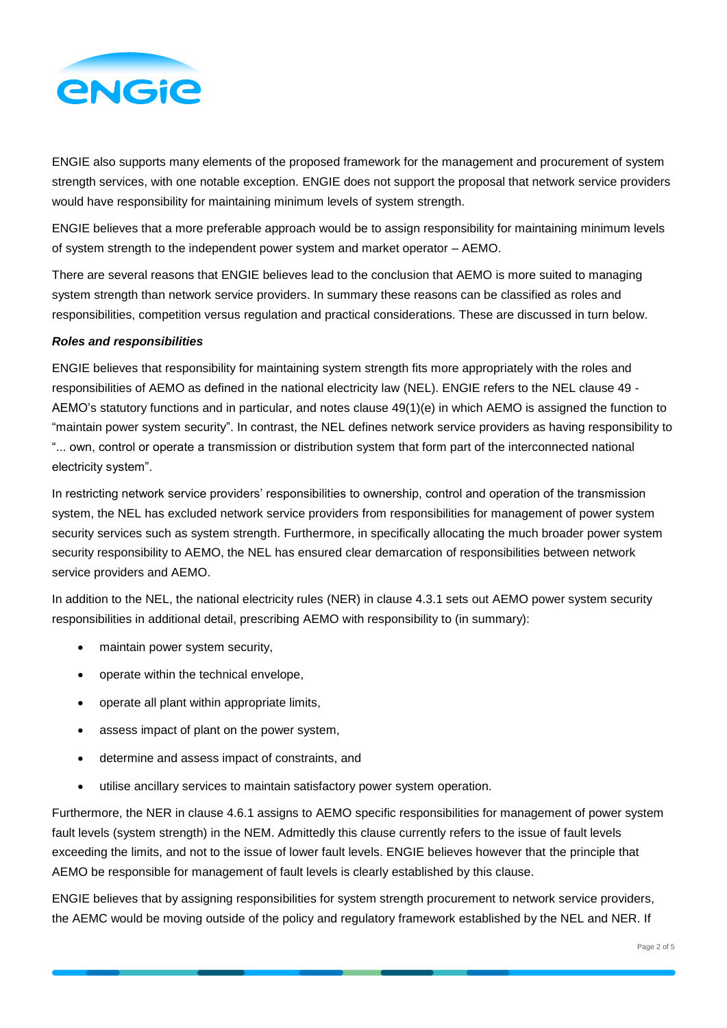

ENGIE also supports many elements of the proposed framework for the management and procurement of system strength services, with one notable exception. ENGIE does not support the proposal that network service providers would have responsibility for maintaining minimum levels of system strength.

ENGIE believes that a more preferable approach would be to assign responsibility for maintaining minimum levels of system strength to the independent power system and market operator – AEMO.

There are several reasons that ENGIE believes lead to the conclusion that AEMO is more suited to managing system strength than network service providers. In summary these reasons can be classified as roles and responsibilities, competition versus regulation and practical considerations. These are discussed in turn below.

## *Roles and responsibilities*

ENGIE believes that responsibility for maintaining system strength fits more appropriately with the roles and responsibilities of AEMO as defined in the national electricity law (NEL). ENGIE refers to the NEL clause 49 - AEMO's statutory functions and in particular, and notes clause 49(1)(e) in which AEMO is assigned the function to "maintain power system security". In contrast, the NEL defines network service providers as having responsibility to "... own, control or operate a transmission or distribution system that form part of the interconnected national electricity system".

In restricting network service providers' responsibilities to ownership, control and operation of the transmission system, the NEL has excluded network service providers from responsibilities for management of power system security services such as system strength. Furthermore, in specifically allocating the much broader power system security responsibility to AEMO, the NEL has ensured clear demarcation of responsibilities between network service providers and AEMO.

In addition to the NEL, the national electricity rules (NER) in clause 4.3.1 sets out AEMO power system security responsibilities in additional detail, prescribing AEMO with responsibility to (in summary):

- maintain power system security,
- operate within the technical envelope,
- operate all plant within appropriate limits,
- assess impact of plant on the power system,
- determine and assess impact of constraints, and
- utilise ancillary services to maintain satisfactory power system operation.

Furthermore, the NER in clause 4.6.1 assigns to AEMO specific responsibilities for management of power system fault levels (system strength) in the NEM. Admittedly this clause currently refers to the issue of fault levels exceeding the limits, and not to the issue of lower fault levels. ENGIE believes however that the principle that AEMO be responsible for management of fault levels is clearly established by this clause.

ENGIE believes that by assigning responsibilities for system strength procurement to network service providers, the AEMC would be moving outside of the policy and regulatory framework established by the NEL and NER. If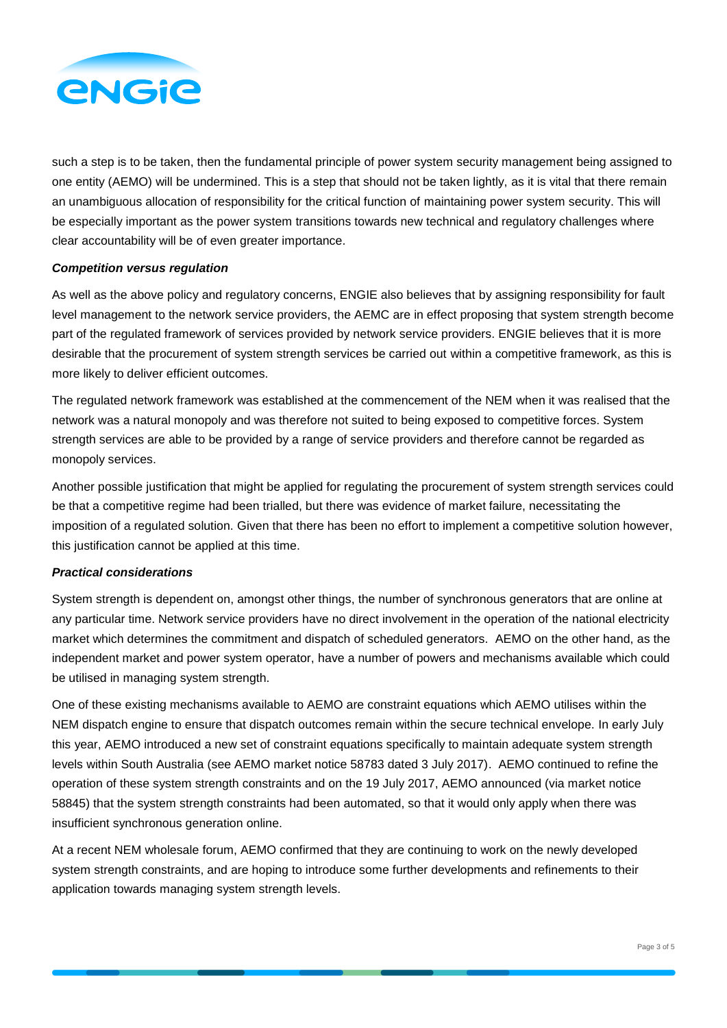

such a step is to be taken, then the fundamental principle of power system security management being assigned to one entity (AEMO) will be undermined. This is a step that should not be taken lightly, as it is vital that there remain an unambiguous allocation of responsibility for the critical function of maintaining power system security. This will be especially important as the power system transitions towards new technical and regulatory challenges where clear accountability will be of even greater importance.

# *Competition versus regulation*

As well as the above policy and regulatory concerns, ENGIE also believes that by assigning responsibility for fault level management to the network service providers, the AEMC are in effect proposing that system strength become part of the regulated framework of services provided by network service providers. ENGIE believes that it is more desirable that the procurement of system strength services be carried out within a competitive framework, as this is more likely to deliver efficient outcomes.

The regulated network framework was established at the commencement of the NEM when it was realised that the network was a natural monopoly and was therefore not suited to being exposed to competitive forces. System strength services are able to be provided by a range of service providers and therefore cannot be regarded as monopoly services.

Another possible justification that might be applied for regulating the procurement of system strength services could be that a competitive regime had been trialled, but there was evidence of market failure, necessitating the imposition of a regulated solution. Given that there has been no effort to implement a competitive solution however, this justification cannot be applied at this time.

# *Practical considerations*

System strength is dependent on, amongst other things, the number of synchronous generators that are online at any particular time. Network service providers have no direct involvement in the operation of the national electricity market which determines the commitment and dispatch of scheduled generators. AEMO on the other hand, as the independent market and power system operator, have a number of powers and mechanisms available which could be utilised in managing system strength.

One of these existing mechanisms available to AEMO are constraint equations which AEMO utilises within the NEM dispatch engine to ensure that dispatch outcomes remain within the secure technical envelope. In early July this year, AEMO introduced a new set of constraint equations specifically to maintain adequate system strength levels within South Australia (see AEMO market notice 58783 dated 3 July 2017). AEMO continued to refine the operation of these system strength constraints and on the 19 July 2017, AEMO announced (via market notice 58845) that the system strength constraints had been automated, so that it would only apply when there was insufficient synchronous generation online.

At a recent NEM wholesale forum, AEMO confirmed that they are continuing to work on the newly developed system strength constraints, and are hoping to introduce some further developments and refinements to their application towards managing system strength levels.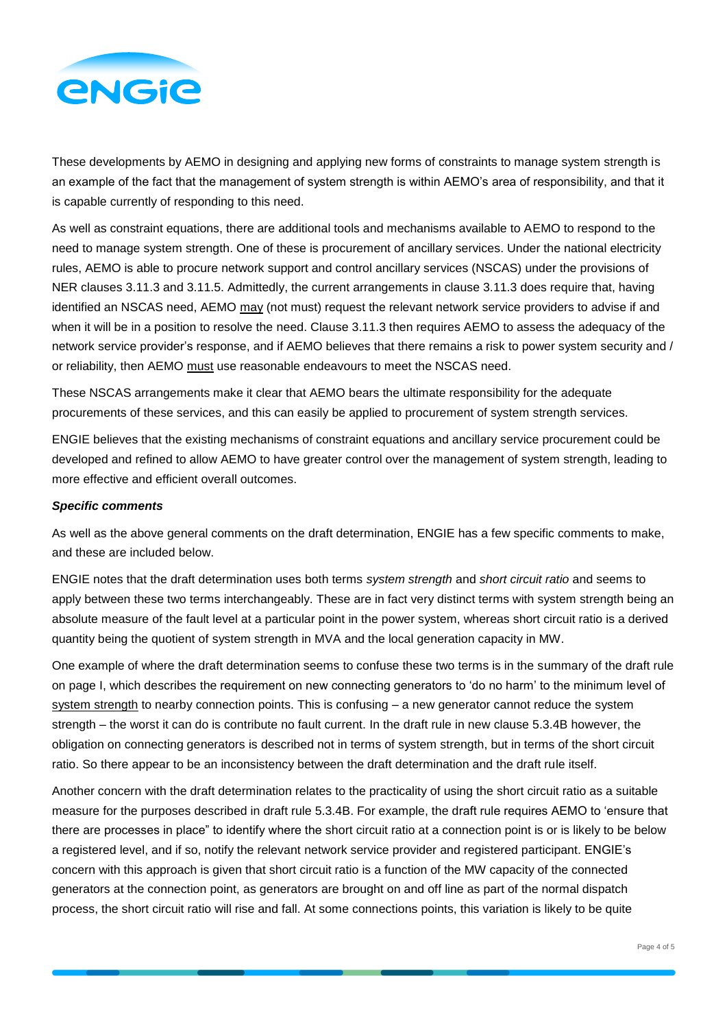

These developments by AEMO in designing and applying new forms of constraints to manage system strength is an example of the fact that the management of system strength is within AEMO's area of responsibility, and that it is capable currently of responding to this need.

As well as constraint equations, there are additional tools and mechanisms available to AEMO to respond to the need to manage system strength. One of these is procurement of ancillary services. Under the national electricity rules, AEMO is able to procure network support and control ancillary services (NSCAS) under the provisions of NER clauses 3.11.3 and 3.11.5. Admittedly, the current arrangements in clause 3.11.3 does require that, having identified an NSCAS need, AEMO may (not must) request the relevant network service providers to advise if and when it will be in a position to resolve the need. Clause 3.11.3 then requires AEMO to assess the adequacy of the network service provider's response, and if AEMO believes that there remains a risk to power system security and / or reliability, then AEMO must use reasonable endeavours to meet the NSCAS need.

These NSCAS arrangements make it clear that AEMO bears the ultimate responsibility for the adequate procurements of these services, and this can easily be applied to procurement of system strength services.

ENGIE believes that the existing mechanisms of constraint equations and ancillary service procurement could be developed and refined to allow AEMO to have greater control over the management of system strength, leading to more effective and efficient overall outcomes.

## *Specific comments*

As well as the above general comments on the draft determination, ENGIE has a few specific comments to make, and these are included below.

ENGIE notes that the draft determination uses both terms *system strength* and *short circuit ratio* and seems to apply between these two terms interchangeably. These are in fact very distinct terms with system strength being an absolute measure of the fault level at a particular point in the power system, whereas short circuit ratio is a derived quantity being the quotient of system strength in MVA and the local generation capacity in MW.

One example of where the draft determination seems to confuse these two terms is in the summary of the draft rule on page I, which describes the requirement on new connecting generators to 'do no harm' to the minimum level of system strength to nearby connection points. This is confusing – a new generator cannot reduce the system strength – the worst it can do is contribute no fault current. In the draft rule in new clause 5.3.4B however, the obligation on connecting generators is described not in terms of system strength, but in terms of the short circuit ratio. So there appear to be an inconsistency between the draft determination and the draft rule itself.

Another concern with the draft determination relates to the practicality of using the short circuit ratio as a suitable measure for the purposes described in draft rule 5.3.4B. For example, the draft rule requires AEMO to 'ensure that there are processes in place" to identify where the short circuit ratio at a connection point is or is likely to be below a registered level, and if so, notify the relevant network service provider and registered participant. ENGIE's concern with this approach is given that short circuit ratio is a function of the MW capacity of the connected generators at the connection point, as generators are brought on and off line as part of the normal dispatch process, the short circuit ratio will rise and fall. At some connections points, this variation is likely to be quite